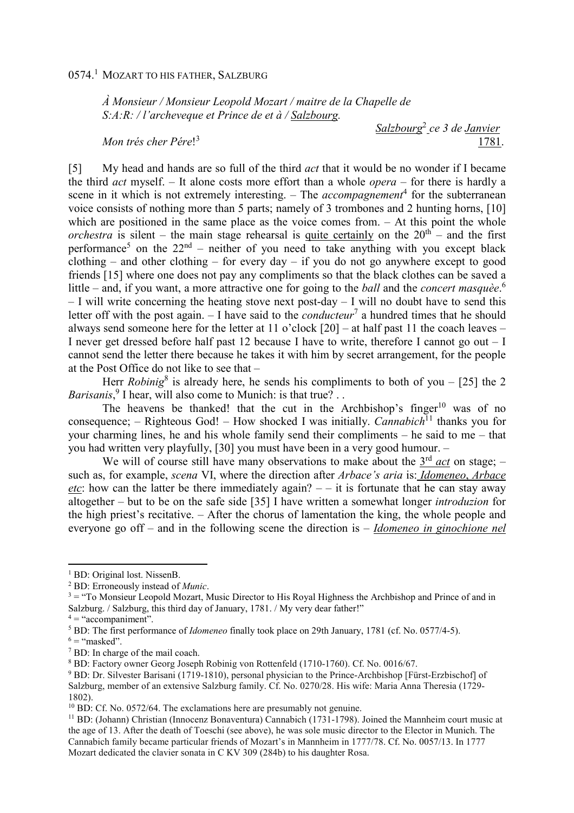*À Monsieur / Monsieur Leopold Mozart / maitre de la Chapelle de S:A:R: / l'archeveque et Prince de et à / Salzbourg.* 

*Mon trés cher Pére*! 3

*Salzbourg*<sup>2</sup>  *ce 3 de Janvier*  1781.

[5] My head and hands are so full of the third *act* that it would be no wonder if I became the third *act* myself. – It alone costs more effort than a whole *opera* – for there is hardly a scene in it which is not extremely interesting. – The *accompagnement*<sup>4</sup> for the subterranean voice consists of nothing more than 5 parts; namely of 3 trombones and 2 hunting horns, [10] which are positioned in the same place as the voice comes from. – At this point the whole *orchestra* is silent – the main stage rehearsal is quite certainly on the  $20<sup>th</sup>$  – and the first performance<sup>5</sup> on the  $22<sup>nd</sup>$  – neither of you need to take anything with you except black clothing – and other clothing – for every day – if you do not go anywhere except to good friends [15] where one does not pay any compliments so that the black clothes can be saved a little – and, if you want, a more attractive one for going to the *ball* and the *concert masquèe*. 6  $-$  I will write concerning the heating stove next post-day  $-$  I will no doubt have to send this letter off with the post again.  $-1$  have said to the *conducteur*<sup>7</sup> a hundred times that he should always send someone here for the letter at 11 o'clock [20] – at half past 11 the coach leaves – I never get dressed before half past 12 because I have to write, therefore I cannot go out – I cannot send the letter there because he takes it with him by secret arrangement, for the people at the Post Office do not like to see that –

Herr *Robinig*<sup>8</sup> is already here, he sends his compliments to both of you – [25] the 2 Barisanis,<sup>9</sup> I hear, will also come to Munich: is that true? . .

The heavens be thanked! that the cut in the Archbishop's finger<sup>10</sup> was of no consequence; – Righteous God! – How shocked I was initially. *Cannabich*<sup>11</sup> thanks you for your charming lines, he and his whole family send their compliments – he said to me – that you had written very playfully, [30] you must have been in a very good humour. –

We will of course still have many observations to make about the  $3<sup>rd</sup>$  *act* on stage; – such as, for example, *scena* VI, where the direction after *Arbace's aria* is: *Idomeneo*, *Arbace etc*: how can the latter be there immediately again?  $-$  – it is fortunate that he can stay away altogether – but to be on the safe side [35] I have written a somewhat longer *introduzion* for the high priest's recitative. – After the chorus of lamentation the king, the whole people and everyone go off – and in the following scene the direction is – *Idomeneo in ginochione nel* 

 $4 =$  "accompaniment".

 $\overline{a}$ 

<sup>&</sup>lt;sup>1</sup> BD: Original lost. NissenB.

<sup>2</sup> BD: Erroneously instead of *Munic*.

 $3 =$  "To Monsieur Leopold Mozart, Music Director to His Royal Highness the Archbishop and Prince of and in Salzburg. / Salzburg, this third day of January, 1781. / My very dear father!"

<sup>5</sup> BD: The first performance of *Idomeneo* finally took place on 29th January, 1781 (cf. No. 0577/4-5).

 $6 =$  "masked".

<sup>7</sup> BD: In charge of the mail coach.

<sup>8</sup> BD: Factory owner Georg Joseph Robinig von Rottenfeld (1710-1760). Cf. No. 0016/67.

<sup>&</sup>lt;sup>9</sup> BD: Dr. Silvester Barisani (1719-1810), personal physician to the Prince-Archbishop [Fürst-Erzbischof] of Salzburg, member of an extensive Salzburg family. Cf. No. 0270/28. His wife: Maria Anna Theresia (1729- 1802).

<sup>&</sup>lt;sup>10</sup> BD: Cf. No. 0572/64. The exclamations here are presumably not genuine.

<sup>&</sup>lt;sup>11</sup> BD: (Johann) Christian (Innocenz Bonaventura) Cannabich (1731-1798). Joined the Mannheim court music at the age of 13. After the death of Toeschi (see above), he was sole music director to the Elector in Munich. The Cannabich family became particular friends of Mozart's in Mannheim in 1777/78. Cf. No. 0057/13. In 1777 Mozart dedicated the clavier sonata in C KV 309 (284b) to his daughter Rosa.